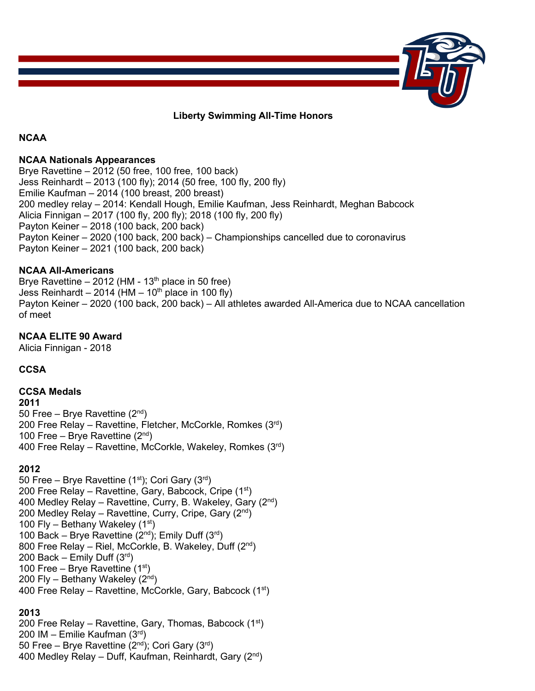

## **Liberty Swimming All-Time Honors**

#### **NCAA**

#### **NCAA Nationals Appearances**

Brye Ravettine – 2012 (50 free, 100 free, 100 back) Jess Reinhardt – 2013 (100 fly); 2014 (50 free, 100 fly, 200 fly) Emilie Kaufman – 2014 (100 breast, 200 breast) 200 medley relay – 2014: Kendall Hough, Emilie Kaufman, Jess Reinhardt, Meghan Babcock Alicia Finnigan – 2017 (100 fly, 200 fly); 2018 (100 fly, 200 fly) Payton Keiner – 2018 (100 back, 200 back) Payton Keiner – 2020 (100 back, 200 back) – Championships cancelled due to coronavirus Payton Keiner – 2021 (100 back, 200 back)

## **NCAA All-Americans**

Brye Ravettine  $-2012$  (HM - 13<sup>th</sup> place in 50 free) Jess Reinhardt – 2014 (HM – 10<sup>th</sup> place in 100 fly) Payton Keiner – 2020 (100 back, 200 back) – All athletes awarded All-America due to NCAA cancellation of meet

## **NCAA ELITE 90 Award**

Alicia Finnigan - 2018

## **CCSA**

## **CCSA Medals**

**2011** 50 Free – Brye Ravettine  $(2<sup>nd</sup>)$ 200 Free Relay – Ravettine, Fletcher, McCorkle, Romkes (3rd) 100 Free – Brye Ravettine  $(2<sup>nd</sup>)$ 400 Free Relay – Ravettine, McCorkle, Wakeley, Romkes (3rd)

## **2012**

50 Free – Brye Ravettine  $(1<sup>st</sup>)$ ; Cori Gary  $(3<sup>rd</sup>)$ 200 Free Relay – Ravettine, Gary, Babcock, Cripe  $(1<sup>st</sup>)$ 400 Medley Relay – Ravettine, Curry, B. Wakeley, Gary (2nd) 200 Medley Relay – Ravettine, Curry, Cripe, Gary  $(2^{nd})$ 100 Fly – Bethany Wakeley  $(1<sup>st</sup>)$ 100 Back – Brye Ravettine ( $2<sup>nd</sup>$ ); Emily Duff ( $3<sup>rd</sup>$ ) 800 Free Relay – Riel, McCorkle, B. Wakeley, Duff (2nd) 200 Back – Emily Duff  $(3<sup>rd</sup>)$ 100 Free – Brye Ravettine  $(1<sup>st</sup>)$ 200 Fly – Bethany Wakeley  $(2<sup>nd</sup>)$ 400 Free Relay – Ravettine, McCorkle, Gary, Babcock  $(1<sup>st</sup>)$ 

## **2013**

200 Free Relay – Ravettine, Gary, Thomas, Babcock  $(1<sup>st</sup>)$ 200 IM – Emilie Kaufman (3rd) 50 Free – Brye Ravettine  $(2^{nd})$ ; Cori Gary  $(3^{rd})$ 400 Medley Relay – Duff, Kaufman, Reinhardt, Gary (2nd)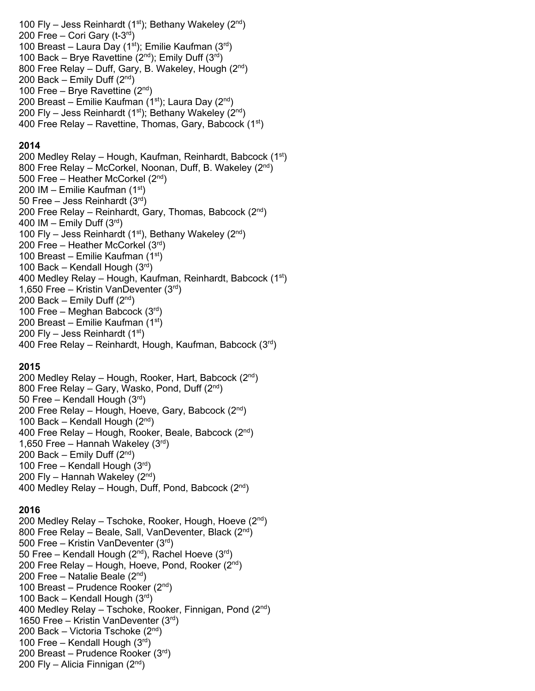100 Fly – Jess Reinhardt  $(1<sup>st</sup>)$ ; Bethany Wakeley  $(2<sup>nd</sup>)$ 200 Free – Cori Gary ( $t$ -3<sup>rd</sup>) 100 Breast – Laura Day (1st); Emilie Kaufman  $(3<sup>rd</sup>)$ 100 Back – Brye Ravettine  $(2^{nd})$ ; Emily Duff  $(3^{rd})$ 800 Free Relay – Duff, Gary, B. Wakeley, Hough (2nd) 200 Back – Emily Duff  $(2^{nd})$ 100 Free – Brye Ravettine (2nd) 200 Breast – Emilie Kaufman (1st); Laura Day (2<sup>nd</sup>) 200 Fly – Jess Reinhardt (1<sup>st</sup>); Bethany Wakeley (2<sup>nd</sup>) 400 Free Relay – Ravettine, Thomas, Gary, Babcock  $(1<sup>st</sup>)$ 

## **2014**

200 Medley Relay – Hough, Kaufman, Reinhardt, Babcock  $(1<sup>st</sup>)$ 800 Free Relay – McCorkel, Noonan, Duff, B. Wakeley (2nd) 500 Free – Heather McCorkel (2nd) 200 IM – Emilie Kaufman (1st) 50 Free – Jess Reinhardt  $(3<sup>rd</sup>)$ 200 Free Relay - Reinhardt, Gary, Thomas, Babcock (2<sup>nd</sup>) 400 IM – Emily Duff  $(3<sup>rd</sup>)$ 100 Fly – Jess Reinhardt (1<sup>st</sup>), Bethany Wakeley (2<sup>nd</sup>) 200 Free – Heather McCorkel  $(3<sup>rd</sup>)$ 100 Breast – Emilie Kaufman  $(1<sup>st</sup>)$ 100 Back – Kendall Hough  $(3<sup>rd</sup>)$ 400 Medley Relay – Hough, Kaufman, Reinhardt, Babcock (1<sup>st</sup>) 1,650 Free – Kristin VanDeventer  $(3<sup>rd</sup>)$ 200 Back – Emily Duff  $(2<sup>nd</sup>)$ 100 Free – Meghan Babcock  $(3<sup>rd</sup>)$ 200 Breast – Emilie Kaufman  $(1<sup>st</sup>)$ 200 Fly – Jess Reinhardt (1 $\mathrm{st}$ ) 400 Free Relay – Reinhardt, Hough, Kaufman, Babcock (3rd)

## **2015**

200 Medley Relay – Hough, Rooker, Hart, Babcock  $(2^{nd})$ 800 Free Relay – Gary, Wasko, Pond, Duff (2nd) 50 Free – Kendall Hough  $(3<sup>rd</sup>)$ 200 Free Relay – Hough, Hoeve, Gary, Babcock  $(2^{nd})$ 100 Back – Kendall Hough  $(2^{nd})$ 400 Free Relay – Hough, Rooker, Beale, Babcock (2nd) 1,650 Free – Hannah Wakeley  $(3<sup>rd</sup>)$ 200 Back – Emily Duff  $(2<sup>nd</sup>)$ 100 Free – Kendall Hough (3rd) 200 Fly – Hannah Wakeley  $(2<sup>nd</sup>)$ 400 Medley Relay – Hough, Duff, Pond, Babcock  $(2^{nd})$ 

## **2016**

200 Medley Relay – Tschoke, Rooker, Hough, Hoeve  $(2^{nd})$ 800 Free Relay – Beale, Sall, VanDeventer, Black  $(2^{nd})$ 500 Free – Kristin VanDeventer (3rd) 50 Free – Kendall Hough  $(2^{nd})$ , Rachel Hoeve  $(3^{rd})$ 200 Free Relay – Hough, Hoeve, Pond, Rooker  $(2^{nd})$ 200 Free – Natalie Beale  $(2^{nd})$ 100 Breast – Prudence Rooker  $(2^{nd})$ 100 Back – Kendall Hough  $(3<sup>rd</sup>)$ 400 Medley Relay – Tschoke, Rooker, Finnigan, Pond  $(2^{nd})$ 1650 Free – Kristin VanDeventer  $(3<sup>rd</sup>)$ 200 Back – Victoria Tschoke  $(2^{nd})$ 100 Free – Kendall Hough (3rd) 200 Breast – Prudence Rooker (3rd) 200 Fly – Alicia Finnigan  $(2^{nd})$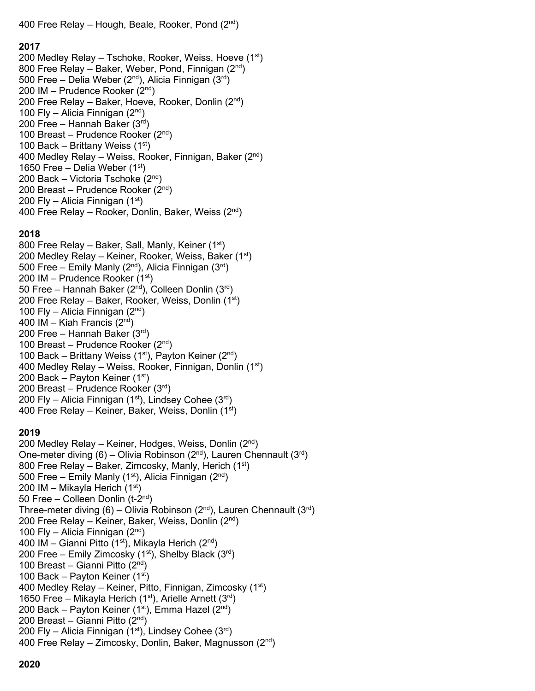400 Free Relay – Hough, Beale, Rooker, Pond  $(2^{nd})$ 

#### **2017**

200 Medley Relay – Tschoke, Rooker, Weiss, Hoeve  $(1<sup>st</sup>)$ 800 Free Relay – Baker, Weber, Pond, Finnigan (2nd) 500 Free – Delia Weber (2<sup>nd</sup>), Alicia Finnigan (3<sup>rd</sup>) 200 IM – Prudence Rooker (2nd) 200 Free Relay – Baker, Hoeve, Rooker, Donlin (2nd) 100 Fly – Alicia Finnigan  $(2^{nd})$ 200 Free – Hannah Baker  $(3<sup>rd</sup>)$ 100 Breast – Prudence Rooker (2nd) 100 Back – Brittany Weiss  $(1<sup>st</sup>)$ 400 Medley Relay – Weiss, Rooker, Finnigan, Baker  $(2^{nd})$ 1650 Free – Delia Weber  $(1<sup>st</sup>)$ 200 Back – Victoria Tschoke (2nd) 200 Breast – Prudence Rooker  $(2^{nd})$ 200 Fly – Alicia Finnigan  $(1<sup>st</sup>)$ 400 Free Relay – Rooker, Donlin, Baker, Weiss  $(2^{nd})$ 

## **2018**

800 Free Relay – Baker, Sall, Manly, Keiner (1<sup>st</sup>) 200 Medley Relay – Keiner, Rooker, Weiss, Baker  $(1<sup>st</sup>)$ 500 Free – Emily Manly ( $2^{nd}$ ), Alicia Finnigan ( $3^{rd}$ ) 200 IM – Prudence Rooker  $(1<sup>st</sup>)$ 50 Free – Hannah Baker  $(2^{nd})$ , Colleen Donlin  $(3^{rd})$ 200 Free Relay – Baker, Rooker, Weiss, Donlin (1st) 100 Fly – Alicia Finnigan  $(2<sup>nd</sup>)$ 400 IM – Kiah Francis  $(2<sup>nd</sup>)$ 200 Free – Hannah Baker  $(3<sup>rd</sup>)$ 100 Breast – Prudence Rooker (2nd) 100 Back – Brittany Weiss (1st), Payton Keiner (2<sup>nd</sup>) 400 Medley Relay – Weiss, Rooker, Finnigan, Donlin  $(1<sup>st</sup>)$ 200 Back – Payton Keiner  $(1<sup>st</sup>)$ 200 Breast – Prudence Rooker (3rd) 200 Fly – Alicia Finnigan  $(1<sup>st</sup>)$ , Lindsey Cohee  $(3<sup>rd</sup>)$ 400 Free Relay – Keiner, Baker, Weiss, Donlin  $(1<sup>st</sup>)$ 

## **2019**

200 Medley Relay – Keiner, Hodges, Weiss, Donlin (2nd) One-meter diving  $(6)$  – Olivia Robinson  $(2<sup>nd</sup>)$ , Lauren Chennault  $(3<sup>rd</sup>)$ 800 Free Relay – Baker, Zimcosky, Manly, Herich (1<sup>st</sup>) 500 Free – Emily Manly (1<sup>st</sup>), Alicia Finnigan (2<sup>nd</sup>) 200 IM – Mikayla Herich  $(1<sup>st</sup>)$ 50 Free – Colleen Donlin (t-2nd) Three-meter diving (6) – Olivia Robinson (2<sup>nd</sup>), Lauren Chennault (3<sup>rd</sup>) 200 Free Relay – Keiner, Baker, Weiss, Donlin  $(2^{nd})$ 100 Fly – Alicia Finnigan  $(2<sup>nd</sup>)$ 400 IM – Gianni Pitto (1<sup>st</sup>), Mikayla Herich (2<sup>nd</sup>) 200 Free – Emily Zimcosky (1<sup>st</sup>), Shelby Black (3<sup>rd</sup>) 100 Breast – Gianni Pitto  $(2<sup>nd</sup>)$ 100 Back – Payton Keiner  $(1<sup>st</sup>)$ 400 Medley Relay – Keiner, Pitto, Finnigan, Zimcosky (1st) 1650 Free – Mikayla Herich (1st), Arielle Arnett (3rd) 200 Back – Payton Keiner (1st), Emma Hazel ( $2<sup>nd</sup>$ ) 200 Breast – Gianni Pitto (2nd) 200 Fly – Alicia Finnigan (1st), Lindsey Cohee (3rd) 400 Free Relay – Zimcosky, Donlin, Baker, Magnusson (2nd)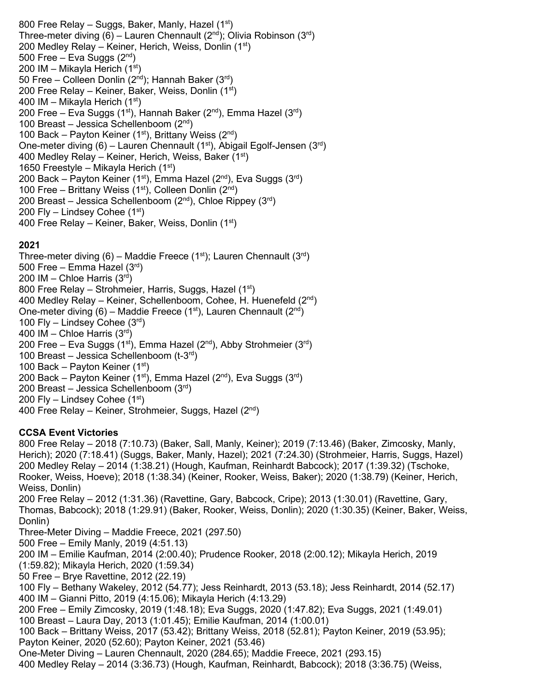800 Free Relay - Suggs, Baker, Manly, Hazel (1st) Three-meter diving (6) – Lauren Chennault ( $2<sup>nd</sup>$ ); Olivia Robinson ( $3<sup>rd</sup>$ ) 200 Medley Relay – Keiner, Herich, Weiss, Donlin  $(1<sup>st</sup>)$ 500 Free – Eva Suggs  $(2<sup>nd</sup>)$ 200 IM – Mikayla Herich (1st) 50 Free – Colleen Donlin ( $2^{nd}$ ); Hannah Baker ( $3^{rd}$ ) 200 Free Relay – Keiner, Baker, Weiss, Donlin (1<sup>st</sup>) 400 IM – Mikayla Herich (1st) 200 Free – Eva Suggs (1st), Hannah Baker ( $2<sup>nd</sup>$ ), Emma Hazel ( $3<sup>rd</sup>$ ) 100 Breast – Jessica Schellenboom  $(2^{nd})$ 100 Back – Payton Keiner (1st), Brittany Weiss ( $2<sup>nd</sup>$ ) One-meter diving (6) – Lauren Chennault (1<sup>st</sup>), Abigail Egolf-Jensen (3<sup>rd</sup>) 400 Medley Relay – Keiner, Herich, Weiss, Baker  $(1<sup>st</sup>)$ 1650 Freestyle – Mikayla Herich  $(1<sup>st</sup>)$ 200 Back – Payton Keiner (1<sup>st</sup>), Emma Hazel (2<sup>nd</sup>), Eva Suggs (3<sup>rd</sup>) 100 Free – Brittany Weiss  $(1<sup>st</sup>)$ , Colleen Donlin  $(2<sup>nd</sup>)$ 200 Breast – Jessica Schellenboom  $(2^{nd})$ , Chloe Rippey  $(3^{rd})$ 200 Fly – Lindsey Cohee  $(1<sup>st</sup>)$ 400 Free Relay – Keiner, Baker, Weiss, Donlin  $(1<sup>st</sup>)$ 

# **2021**

Three-meter diving (6) – Maddie Freece (1<sup>st</sup>); Lauren Chennault (3<sup>rd</sup>) 500 Free – Emma Hazel (3rd) 200 IM – Chloe Harris  $(3<sup>rd</sup>)$ 800 Free Relay – Strohmeier, Harris, Suggs, Hazel (1<sup>st</sup>) 400 Medley Relay – Keiner, Schellenboom, Cohee, H. Huenefeld (2nd) One-meter diving (6) – Maddie Freece (1<sup>st</sup>), Lauren Chennault (2<sup>nd</sup>) 100 Fly – Lindsey Cohee  $(3<sup>rd</sup>)$ 400 IM – Chloe Harris (3rd) 200 Free – Eva Suggs (1<sup>st</sup>), Emma Hazel (2<sup>nd</sup>), Abby Strohmeier (3<sup>rd</sup>) 100 Breast – Jessica Schellenboom (t-3<sup>rd</sup>) 100 Back – Payton Keiner  $(1<sup>st</sup>)$ 200 Back – Payton Keiner (1st), Emma Hazel (2nd), Eva Suggs (3rd) 200 Breast – Jessica Schellenboom (3rd) 200 Fly – Lindsey Cohee  $(1<sup>st</sup>)$ 400 Free Relay – Keiner, Strohmeier, Suggs, Hazel  $(2^{nd})$ 

# **CCSA Event Victories**

800 Free Relay – 2018 (7:10.73) (Baker, Sall, Manly, Keiner); 2019 (7:13.46) (Baker, Zimcosky, Manly, Herich); 2020 (7:18.41) (Suggs, Baker, Manly, Hazel); 2021 (7:24.30) (Strohmeier, Harris, Suggs, Hazel) 200 Medley Relay – 2014 (1:38.21) (Hough, Kaufman, Reinhardt Babcock); 2017 (1:39.32) (Tschoke, Rooker, Weiss, Hoeve); 2018 (1:38.34) (Keiner, Rooker, Weiss, Baker); 2020 (1:38.79) (Keiner, Herich, Weiss, Donlin) 200 Free Relay – 2012 (1:31.36) (Ravettine, Gary, Babcock, Cripe); 2013 (1:30.01) (Ravettine, Gary, Thomas, Babcock); 2018 (1:29.91) (Baker, Rooker, Weiss, Donlin); 2020 (1:30.35) (Keiner, Baker, Weiss, Donlin) Three-Meter Diving – Maddie Freece, 2021 (297.50) 500 Free – Emily Manly, 2019 (4:51.13) 200 IM – Emilie Kaufman, 2014 (2:00.40); Prudence Rooker, 2018 (2:00.12); Mikayla Herich, 2019 (1:59.82); Mikayla Herich, 2020 (1:59.34) 50 Free – Brye Ravettine, 2012 (22.19) 100 Fly – Bethany Wakeley, 2012 (54.77); Jess Reinhardt, 2013 (53.18); Jess Reinhardt, 2014 (52.17) 400 IM – Gianni Pitto, 2019 (4:15.06); Mikayla Herich (4:13.29) 200 Free – Emily Zimcosky, 2019 (1:48.18); Eva Suggs, 2020 (1:47.82); Eva Suggs, 2021 (1:49.01) 100 Breast – Laura Day, 2013 (1:01.45); Emilie Kaufman, 2014 (1:00.01) 100 Back – Brittany Weiss, 2017 (53.42); Brittany Weiss, 2018 (52.81); Payton Keiner, 2019 (53.95); Payton Keiner, 2020 (52.60); Payton Keiner, 2021 (53.46) One-Meter Diving – Lauren Chennault, 2020 (284.65); Maddie Freece, 2021 (293.15) 400 Medley Relay – 2014 (3:36.73) (Hough, Kaufman, Reinhardt, Babcock); 2018 (3:36.75) (Weiss,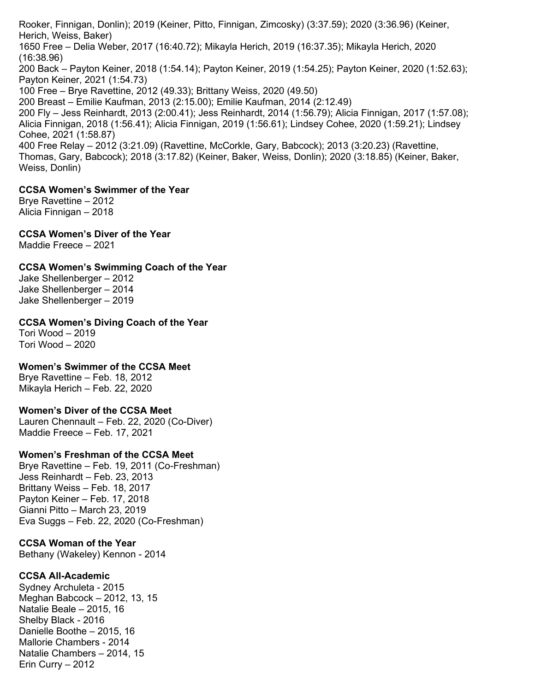Rooker, Finnigan, Donlin); 2019 (Keiner, Pitto, Finnigan, Zimcosky) (3:37.59); 2020 (3:36.96) (Keiner, Herich, Weiss, Baker)

1650 Free – Delia Weber, 2017 (16:40.72); Mikayla Herich, 2019 (16:37.35); Mikayla Herich, 2020 (16:38.96)

200 Back – Payton Keiner, 2018 (1:54.14); Payton Keiner, 2019 (1:54.25); Payton Keiner, 2020 (1:52.63); Payton Keiner, 2021 (1:54.73)

100 Free – Brye Ravettine, 2012 (49.33); Brittany Weiss, 2020 (49.50)

200 Breast – Emilie Kaufman, 2013 (2:15.00); Emilie Kaufman, 2014 (2:12.49)

200 Fly – Jess Reinhardt, 2013 (2:00.41); Jess Reinhardt, 2014 (1:56.79); Alicia Finnigan, 2017 (1:57.08); Alicia Finnigan, 2018 (1:56.41); Alicia Finnigan, 2019 (1:56.61); Lindsey Cohee, 2020 (1:59.21); Lindsey Cohee, 2021 (1:58.87)

400 Free Relay – 2012 (3:21.09) (Ravettine, McCorkle, Gary, Babcock); 2013 (3:20.23) (Ravettine, Thomas, Gary, Babcock); 2018 (3:17.82) (Keiner, Baker, Weiss, Donlin); 2020 (3:18.85) (Keiner, Baker, Weiss, Donlin)

# **CCSA Women's Swimmer of the Year**

Brye Ravettine – 2012 Alicia Finnigan – 2018

**CCSA Women's Diver of the Year**

Maddie Freece – 2021

# **CCSA Women's Swimming Coach of the Year**

Jake Shellenberger – 2012 Jake Shellenberger – 2014 Jake Shellenberger – 2019

## **CCSA Women's Diving Coach of the Year**

Tori Wood – 2019 Tori Wood – 2020

## **Women's Swimmer of the CCSA Meet**

Brye Ravettine – Feb. 18, 2012 Mikayla Herich – Feb. 22, 2020

## **Women's Diver of the CCSA Meet**

Lauren Chennault – Feb. 22, 2020 (Co-Diver) Maddie Freece – Feb. 17, 2021

# **Women's Freshman of the CCSA Meet**

Brye Ravettine – Feb. 19, 2011 (Co-Freshman) Jess Reinhardt – Feb. 23, 2013 Brittany Weiss – Feb. 18, 2017 Payton Keiner – Feb. 17, 2018 Gianni Pitto – March 23, 2019 Eva Suggs – Feb. 22, 2020 (Co-Freshman)

# **CCSA Woman of the Year**

Bethany (Wakeley) Kennon - 2014

# **CCSA All-Academic**

Sydney Archuleta - 2015 Meghan Babcock – 2012, 13, 15 Natalie Beale – 2015, 16 Shelby Black - 2016 Danielle Boothe – 2015, 16 Mallorie Chambers - 2014 Natalie Chambers – 2014, 15 Erin Curry – 2012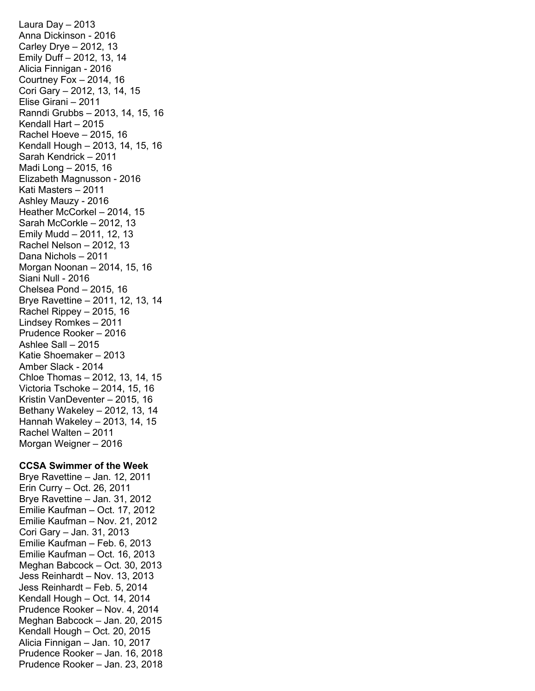Laura Day – 2013 Anna Dickinson - 2016 Carley Drye – 2012, 13 Emily Duff – 2012, 13, 14 Alicia Finnigan - 2016 Courtney Fox  $-2014, 16$ Cori Gary – 2012, 13, 14, 15 Elise Girani – 2011 Ranndi Grubbs – 2013, 14, 15, 16 Kendall Hart – 2015 Rachel Hoeve – 2015, 16 Kendall Hough – 2013, 14, 15, 16 Sarah Kendrick – 2011 Madi Long – 2015, 16 Elizabeth Magnusson - 2016 Kati Masters – 2011 Ashley Mauzy - 2016 Heather McCorkel – 2014, 15 Sarah McCorkle – 2012, 13 Emily Mudd – 2011, 12, 13 Rachel Nelson – 2012, 13 Dana Nichols – 2011 Morgan Noonan – 2014, 15, 16 Siani Null - 2016 Chelsea Pond – 2015, 16 Brye Ravettine – 2011, 12, 13, 14 Rachel Rippey – 2015, 16 Lindsey Romkes – 2011 Prudence Rooker – 2016 Ashlee Sall – 2015 Katie Shoemaker – 2013 Amber Slack - 2014 Chloe Thomas – 2012, 13, 14, 15 Victoria Tschoke – 2014, 15, 16 Kristin VanDeventer – 2015, 16 Bethany Wakeley – 2012, 13, 14 Hannah Wakeley – 2013, 14, 15 Rachel Walten – 2011 Morgan Weigner – 2016

#### **CCSA Swimmer of the Week**

Brye Ravettine – Jan. 12, 2011 Erin Curry – Oct. 26, 2011 Brye Ravettine – Jan. 31, 2012 Emilie Kaufman – Oct. 17, 2012 Emilie Kaufman – Nov. 21, 2012 Cori Gary – Jan. 31, 2013 Emilie Kaufman – Feb. 6, 2013 Emilie Kaufman – Oct. 16, 2013 Meghan Babcock – Oct. 30, 2013 Jess Reinhardt – Nov. 13, 2013 Jess Reinhardt – Feb. 5, 2014 Kendall Hough – Oct. 14, 2014 Prudence Rooker – Nov. 4, 2014 Meghan Babcock – Jan. 20, 2015 Kendall Hough – Oct. 20, 2015 Alicia Finnigan – Jan. 10, 2017 Prudence Rooker – Jan. 16, 2018 Prudence Rooker – Jan. 23, 2018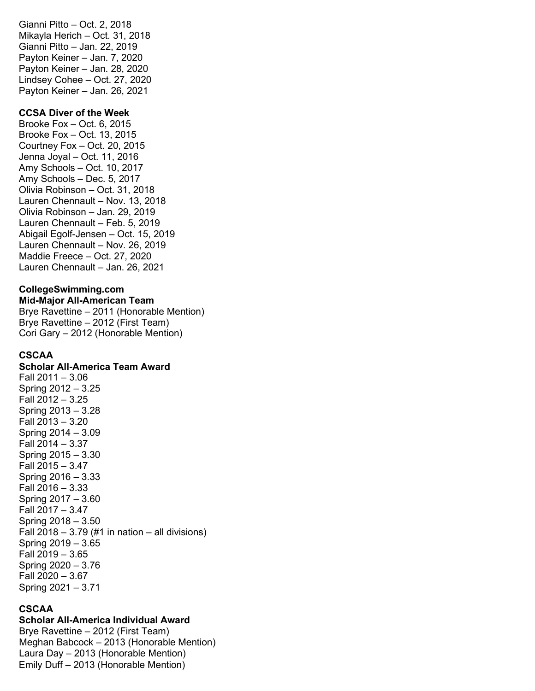Gianni Pitto – Oct. 2, 2018 Mikayla Herich – Oct. 31, 2018 Gianni Pitto – Jan. 22, 2019 Payton Keiner – Jan. 7, 2020 Payton Keiner – Jan. 28, 2020 Lindsey Cohee – Oct. 27, 2020 Payton Keiner – Jan. 26, 2021

#### **CCSA Diver of the Week**

Brooke Fox – Oct. 6, 2015 Brooke Fox – Oct. 13, 2015 Courtney Fox – Oct. 20, 2015 Jenna Joyal – Oct. 11, 2016 Amy Schools – Oct. 10, 2017 Amy Schools – Dec. 5, 2017 Olivia Robinson – Oct. 31, 2018 Lauren Chennault – Nov. 13, 2018 Olivia Robinson – Jan. 29, 2019 Lauren Chennault – Feb. 5, 2019 Abigail Egolf-Jensen – Oct. 15, 2019 Lauren Chennault – Nov. 26, 2019 Maddie Freece – Oct. 27, 2020 Lauren Chennault – Jan. 26, 2021

# **CollegeSwimming.com**

**Mid-Major All-American Team** Brye Ravettine – 2011 (Honorable Mention) Brye Ravettine – 2012 (First Team) Cori Gary – 2012 (Honorable Mention)

#### **CSCAA**

#### **Scholar All-America Team Award**

Fall 2011 – 3.06 Spring 2012 – 3.25 Fall 2012 – 3.25 Spring 2013 – 3.28 Fall 2013 – 3.20 Spring 2014 – 3.09 Fall 2014 – 3.37 Spring 2015 – 3.30 Fall 2015 – 3.47 Spring 2016 – 3.33 Fall 2016 – 3.33 Spring 2017 – 3.60 Fall 2017 – 3.47 Spring 2018 – 3.50 Fall  $2018 - 3.79$  (#1 in nation – all divisions) Spring 2019 – 3.65 Fall 2019 – 3.65 Spring 2020 – 3.76 Fall 2020 – 3.67 Spring 2021 – 3.71

#### **CSCAA**

#### **Scholar All-America Individual Award**

Brye Ravettine – 2012 (First Team) Meghan Babcock – 2013 (Honorable Mention) Laura Day – 2013 (Honorable Mention) Emily Duff – 2013 (Honorable Mention)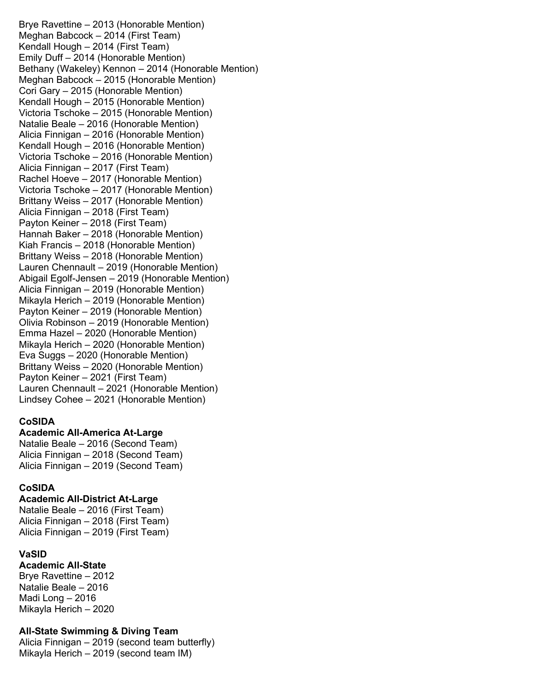Brye Ravettine – 2013 (Honorable Mention) Meghan Babcock – 2014 (First Team) Kendall Hough – 2014 (First Team) Emily Duff – 2014 (Honorable Mention) Bethany (Wakeley) Kennon – 2014 (Honorable Mention) Meghan Babcock – 2015 (Honorable Mention) Cori Gary – 2015 (Honorable Mention) Kendall Hough – 2015 (Honorable Mention) Victoria Tschoke – 2015 (Honorable Mention) Natalie Beale – 2016 (Honorable Mention) Alicia Finnigan – 2016 (Honorable Mention) Kendall Hough – 2016 (Honorable Mention) Victoria Tschoke – 2016 (Honorable Mention) Alicia Finnigan – 2017 (First Team) Rachel Hoeve – 2017 (Honorable Mention) Victoria Tschoke – 2017 (Honorable Mention) Brittany Weiss – 2017 (Honorable Mention) Alicia Finnigan – 2018 (First Team) Payton Keiner – 2018 (First Team) Hannah Baker – 2018 (Honorable Mention) Kiah Francis – 2018 (Honorable Mention) Brittany Weiss – 2018 (Honorable Mention) Lauren Chennault – 2019 (Honorable Mention) Abigail Egolf-Jensen – 2019 (Honorable Mention) Alicia Finnigan – 2019 (Honorable Mention) Mikayla Herich – 2019 (Honorable Mention) Payton Keiner – 2019 (Honorable Mention) Olivia Robinson – 2019 (Honorable Mention) Emma Hazel – 2020 (Honorable Mention) Mikayla Herich – 2020 (Honorable Mention) Eva Suggs – 2020 (Honorable Mention) Brittany Weiss – 2020 (Honorable Mention) Payton Keiner – 2021 (First Team) Lauren Chennault – 2021 (Honorable Mention) Lindsey Cohee – 2021 (Honorable Mention)

## **CoSIDA**

**Academic All-America At-Large**

Natalie Beale – 2016 (Second Team) Alicia Finnigan – 2018 (Second Team) Alicia Finnigan – 2019 (Second Team)

## **CoSIDA**

**Academic All-District At-Large** Natalie Beale – 2016 (First Team)

Alicia Finnigan – 2018 (First Team) Alicia Finnigan – 2019 (First Team)

# **VaSID**

#### **Academic All-State**

Brye Ravettine – 2012 Natalie Beale – 2016 Madi Long – 2016 Mikayla Herich – 2020

## **All-State Swimming & Diving Team**

Alicia Finnigan – 2019 (second team butterfly) Mikayla Herich – 2019 (second team IM)